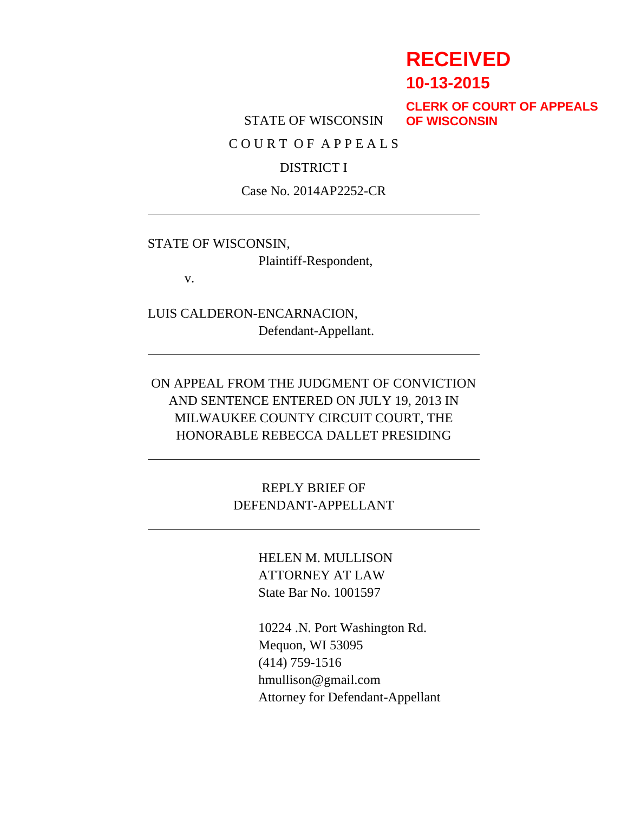# **RECEIVED**

**10-13-2015**

STATE OF WISCONSIN

**CLERK OF COURT OF APPEALS OF WISCONSIN**

C O U R T O F A P P E A L S

#### DISTRICT I

Case No. 2014AP2252-CR

STATE OF WISCONSIN,

Plaintiff-Respondent,

v.

LUIS CALDERON-ENCARNACION, Defendant-Appellant.

ON APPEAL FROM THE JUDGMENT OF CONVICTION AND SENTENCE ENTERED ON JULY 19, 2013 IN MILWAUKEE COUNTY CIRCUIT COURT, THE HONORABLE REBECCA DALLET PRESIDING

> REPLY BRIEF OF DEFENDANT-APPELLANT

> > HELEN M. MULLISON ATTORNEY AT LAW State Bar No. 1001597

10224 .N. Port Washington Rd. Mequon, WI 53095 (414) 759-1516 hmullison@gmail.com Attorney for Defendant-Appellant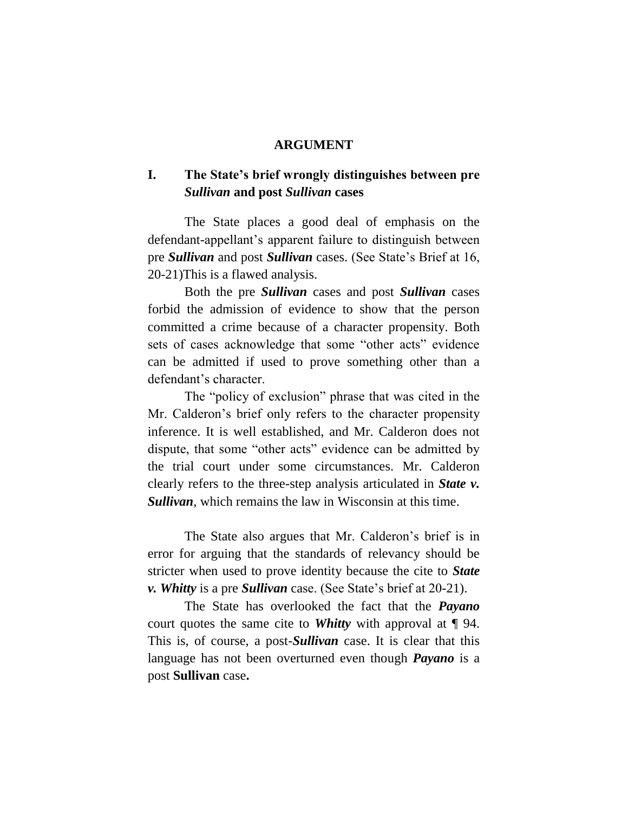#### **ARGUMENT**

#### **I. The State's brief wrongly distinguishes between pre** *Sullivan* **and post** *Sullivan* **cases**

The State places a good deal of emphasis on the defendant-appellant's apparent failure to distinguish between pre *Sullivan* and post *Sullivan* cases. (See State's Brief at 16, 20-21)This is a flawed analysis.

Both the pre *Sullivan* cases and post *Sullivan* cases forbid the admission of evidence to show that the person committed a crime because of a character propensity. Both sets of cases acknowledge that some "other acts" evidence can be admitted if used to prove something other than a defendant's character.

The "policy of exclusion" phrase that was cited in the Mr. Calderon's brief only refers to the character propensity inference. It is well established, and Mr. Calderon does not dispute, that some "other acts" evidence can be admitted by the trial court under some circumstances. Mr. Calderon clearly refers to the three-step analysis articulated in *State v. Sullivan*, which remains the law in Wisconsin at this time.

The State also argues that Mr. Calderon's brief is in error for arguing that the standards of relevancy should be stricter when used to prove identity because the cite to *State v. Whitty* is a pre *Sullivan* case. (See State's brief at 20-21).

The State has overlooked the fact that the *Payano*  court quotes the same cite to *Whitty* with approval at ¶ 94. This is, of course, a post-*Sullivan* case. It is clear that this language has not been overturned even though *Payano* is a post **Sullivan** case**.**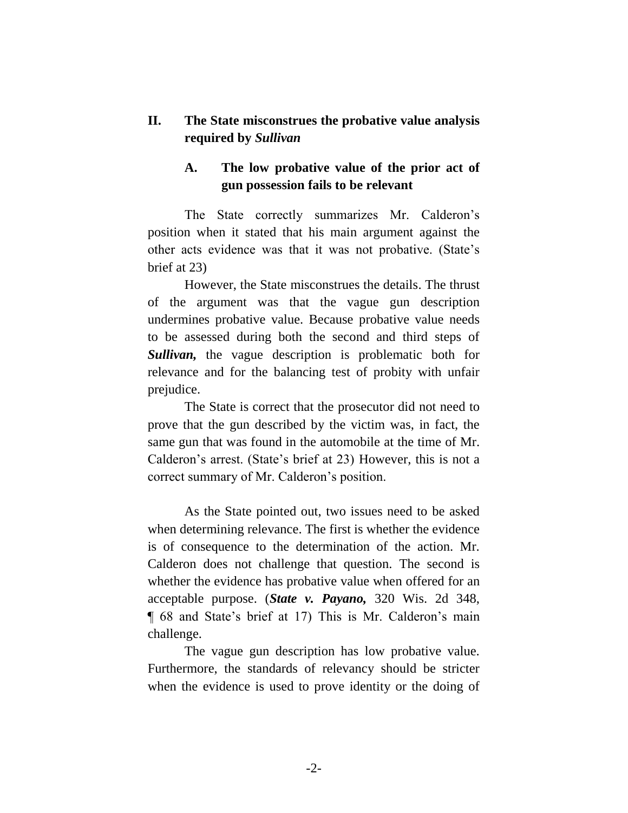### **II. The State misconstrues the probative value analysis required by** *Sullivan*

#### **A. The low probative value of the prior act of gun possession fails to be relevant**

The State correctly summarizes Mr. Calderon's position when it stated that his main argument against the other acts evidence was that it was not probative. (State's brief at 23)

However, the State misconstrues the details. The thrust of the argument was that the vague gun description undermines probative value. Because probative value needs to be assessed during both the second and third steps of **Sullivan,** the vague description is problematic both for relevance and for the balancing test of probity with unfair prejudice.

The State is correct that the prosecutor did not need to prove that the gun described by the victim was, in fact, the same gun that was found in the automobile at the time of Mr. Calderon's arrest. (State's brief at 23) However, this is not a correct summary of Mr. Calderon's position.

As the State pointed out, two issues need to be asked when determining relevance. The first is whether the evidence is of consequence to the determination of the action. Mr. Calderon does not challenge that question. The second is whether the evidence has probative value when offered for an acceptable purpose. (*State v. Payano,* 320 Wis. 2d 348, ¶ 68 and State's brief at 17) This is Mr. Calderon's main challenge.

The vague gun description has low probative value. Furthermore, the standards of relevancy should be stricter when the evidence is used to prove identity or the doing of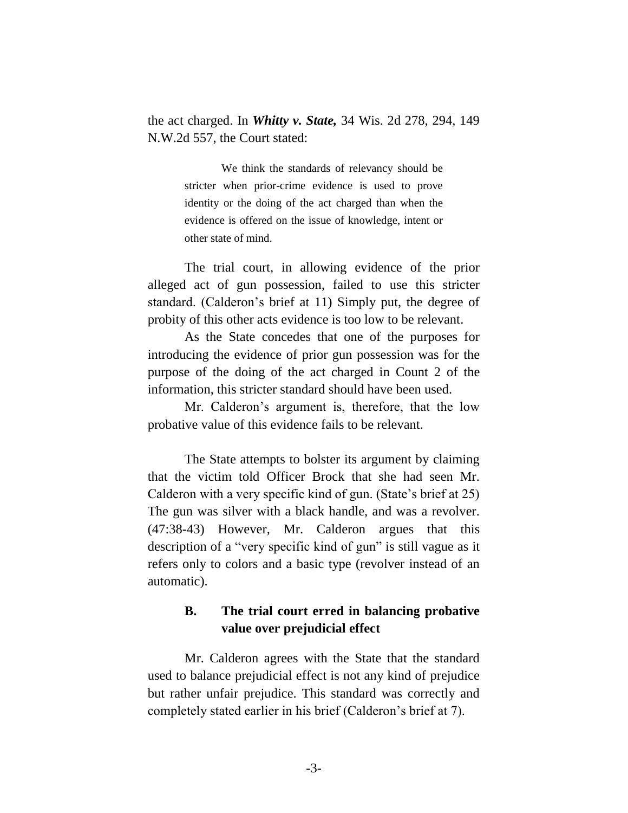the act charged. In *Whitty v. State,* 34 Wis. 2d 278, 294, 149 N.W.2d 557, the Court stated:

> We think the standards of relevancy should be stricter when prior-crime evidence is used to prove identity or the doing of the act charged than when the evidence is offered on the issue of knowledge, intent or other state of mind.

The trial court, in allowing evidence of the prior alleged act of gun possession, failed to use this stricter standard. (Calderon's brief at 11) Simply put, the degree of probity of this other acts evidence is too low to be relevant.

As the State concedes that one of the purposes for introducing the evidence of prior gun possession was for the purpose of the doing of the act charged in Count 2 of the information, this stricter standard should have been used.

Mr. Calderon's argument is, therefore, that the low probative value of this evidence fails to be relevant.

The State attempts to bolster its argument by claiming that the victim told Officer Brock that she had seen Mr. Calderon with a very specific kind of gun. (State's brief at 25) The gun was silver with a black handle, and was a revolver. (47:38-43) However, Mr. Calderon argues that this description of a "very specific kind of gun" is still vague as it refers only to colors and a basic type (revolver instead of an automatic).

#### **B. The trial court erred in balancing probative value over prejudicial effect**

Mr. Calderon agrees with the State that the standard used to balance prejudicial effect is not any kind of prejudice but rather unfair prejudice. This standard was correctly and completely stated earlier in his brief (Calderon's brief at 7).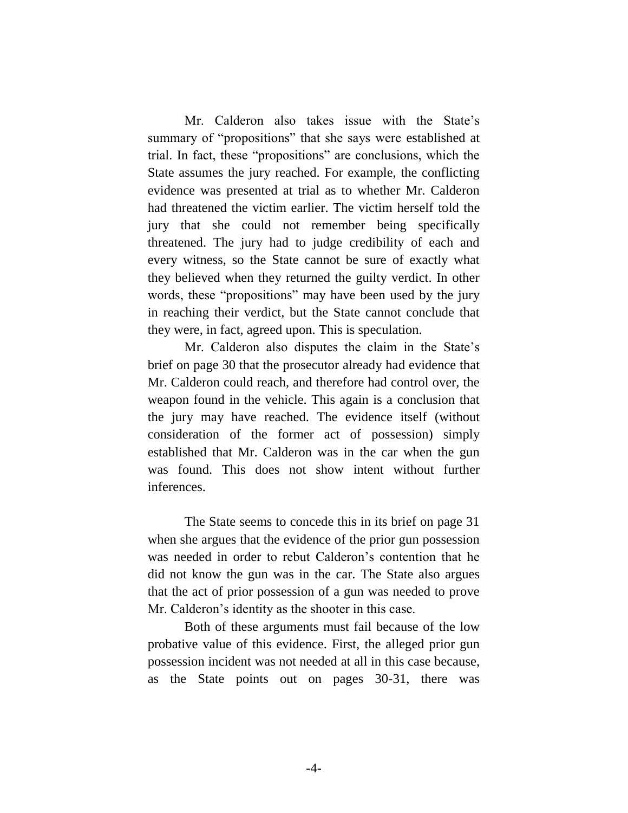Mr. Calderon also takes issue with the State's summary of "propositions" that she says were established at trial. In fact, these "propositions" are conclusions, which the State assumes the jury reached. For example, the conflicting evidence was presented at trial as to whether Mr. Calderon had threatened the victim earlier. The victim herself told the jury that she could not remember being specifically threatened. The jury had to judge credibility of each and every witness, so the State cannot be sure of exactly what they believed when they returned the guilty verdict. In other words, these "propositions" may have been used by the jury in reaching their verdict, but the State cannot conclude that they were, in fact, agreed upon. This is speculation.

Mr. Calderon also disputes the claim in the State's brief on page 30 that the prosecutor already had evidence that Mr. Calderon could reach, and therefore had control over, the weapon found in the vehicle. This again is a conclusion that the jury may have reached. The evidence itself (without consideration of the former act of possession) simply established that Mr. Calderon was in the car when the gun was found. This does not show intent without further inferences.

The State seems to concede this in its brief on page 31 when she argues that the evidence of the prior gun possession was needed in order to rebut Calderon's contention that he did not know the gun was in the car. The State also argues that the act of prior possession of a gun was needed to prove Mr. Calderon's identity as the shooter in this case.

Both of these arguments must fail because of the low probative value of this evidence. First, the alleged prior gun possession incident was not needed at all in this case because, as the State points out on pages 30-31, there was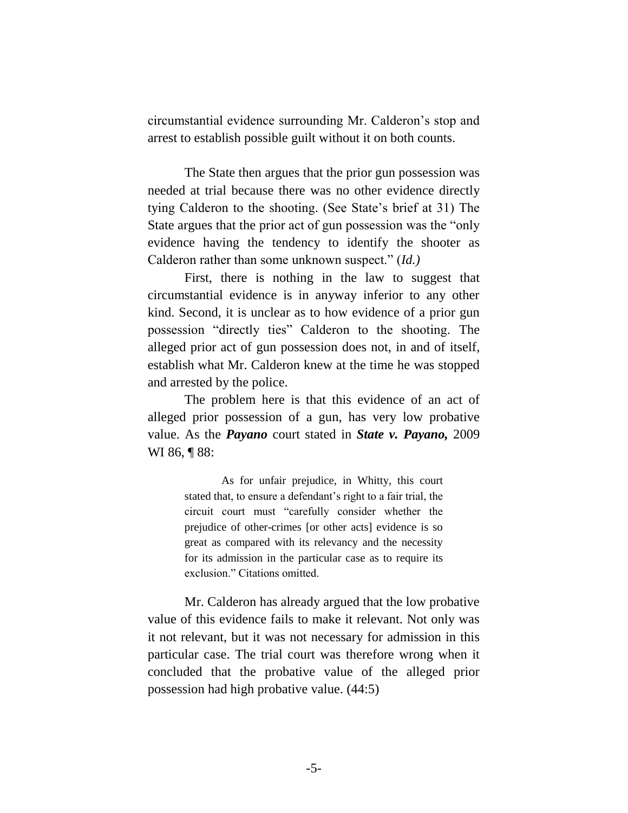circumstantial evidence surrounding Mr. Calderon's stop and arrest to establish possible guilt without it on both counts.

The State then argues that the prior gun possession was needed at trial because there was no other evidence directly tying Calderon to the shooting. (See State's brief at 31) The State argues that the prior act of gun possession was the "only evidence having the tendency to identify the shooter as Calderon rather than some unknown suspect." (*Id.)*

First, there is nothing in the law to suggest that circumstantial evidence is in anyway inferior to any other kind. Second, it is unclear as to how evidence of a prior gun possession "directly ties" Calderon to the shooting. The alleged prior act of gun possession does not, in and of itself, establish what Mr. Calderon knew at the time he was stopped and arrested by the police.

The problem here is that this evidence of an act of alleged prior possession of a gun, has very low probative value. As the *Payano* court stated in *State v. Payano,* 2009 WI 86, **[88**:

> As for unfair prejudice, in Whitty, this court stated that, to ensure a defendant's right to a fair trial, the circuit court must "carefully consider whether the prejudice of other-crimes [or other acts] evidence is so great as compared with its relevancy and the necessity for its admission in the particular case as to require its exclusion." Citations omitted.

Mr. Calderon has already argued that the low probative value of this evidence fails to make it relevant. Not only was it not relevant, but it was not necessary for admission in this particular case. The trial court was therefore wrong when it concluded that the probative value of the alleged prior possession had high probative value. (44:5)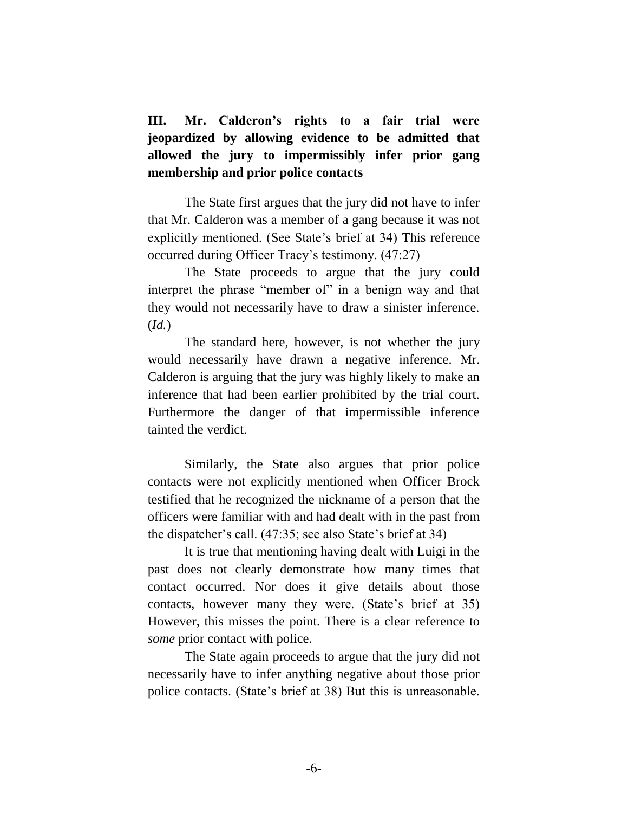**III. Mr. Calderon's rights to a fair trial were jeopardized by allowing evidence to be admitted that allowed the jury to impermissibly infer prior gang membership and prior police contacts**

The State first argues that the jury did not have to infer that Mr. Calderon was a member of a gang because it was not explicitly mentioned. (See State's brief at 34) This reference occurred during Officer Tracy's testimony. (47:27)

The State proceeds to argue that the jury could interpret the phrase "member of" in a benign way and that they would not necessarily have to draw a sinister inference. (*Id.*)

The standard here, however, is not whether the jury would necessarily have drawn a negative inference. Mr. Calderon is arguing that the jury was highly likely to make an inference that had been earlier prohibited by the trial court. Furthermore the danger of that impermissible inference tainted the verdict.

Similarly, the State also argues that prior police contacts were not explicitly mentioned when Officer Brock testified that he recognized the nickname of a person that the officers were familiar with and had dealt with in the past from the dispatcher's call. (47:35; see also State's brief at 34)

It is true that mentioning having dealt with Luigi in the past does not clearly demonstrate how many times that contact occurred. Nor does it give details about those contacts, however many they were. (State's brief at 35) However, this misses the point. There is a clear reference to *some* prior contact with police.

The State again proceeds to argue that the jury did not necessarily have to infer anything negative about those prior police contacts. (State's brief at 38) But this is unreasonable.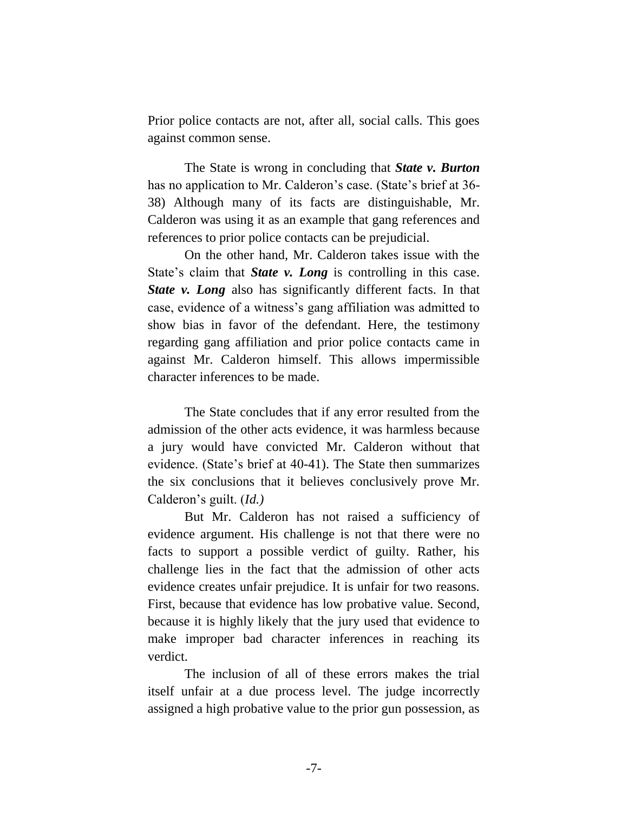Prior police contacts are not, after all, social calls. This goes against common sense.

The State is wrong in concluding that *State v. Burton*  has no application to Mr. Calderon's case. (State's brief at 36- 38) Although many of its facts are distinguishable, Mr. Calderon was using it as an example that gang references and references to prior police contacts can be prejudicial.

On the other hand, Mr. Calderon takes issue with the State's claim that *State v. Long* is controlling in this case. *State v. Long* also has significantly different facts. In that case, evidence of a witness's gang affiliation was admitted to show bias in favor of the defendant. Here, the testimony regarding gang affiliation and prior police contacts came in against Mr. Calderon himself. This allows impermissible character inferences to be made.

The State concludes that if any error resulted from the admission of the other acts evidence, it was harmless because a jury would have convicted Mr. Calderon without that evidence. (State's brief at 40-41). The State then summarizes the six conclusions that it believes conclusively prove Mr. Calderon's guilt. (*Id.)*

But Mr. Calderon has not raised a sufficiency of evidence argument. His challenge is not that there were no facts to support a possible verdict of guilty. Rather, his challenge lies in the fact that the admission of other acts evidence creates unfair prejudice. It is unfair for two reasons. First, because that evidence has low probative value. Second, because it is highly likely that the jury used that evidence to make improper bad character inferences in reaching its verdict.

The inclusion of all of these errors makes the trial itself unfair at a due process level. The judge incorrectly assigned a high probative value to the prior gun possession, as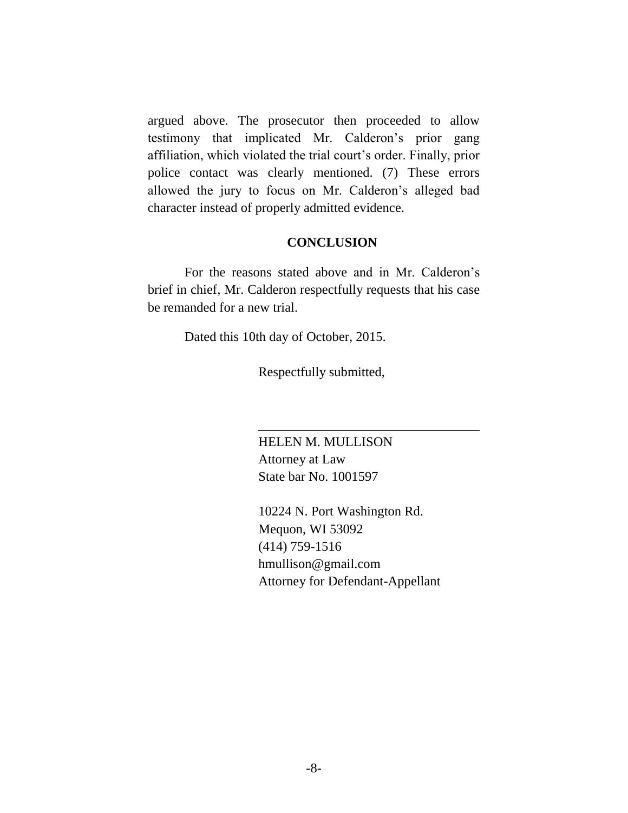argued above. The prosecutor then proceeded to allow testimony that implicated Mr. Calderon's prior gang affiliation, which violated the trial court's order. Finally, prior police contact was clearly mentioned. (7) These errors allowed the jury to focus on Mr. Calderon's alleged bad character instead of properly admitted evidence.

#### **CONCLUSION**

For the reasons stated above and in Mr. Calderon's brief in chief, Mr. Calderon respectfully requests that his case be remanded for a new trial.

Dated this 10th day of October, 2015.

Respectfully submitted,

HELEN M. MULLISON Attorney at Law State bar No. 1001597

10224 N. Port Washington Rd. Mequon, WI 53092 (414) 759-1516 hmullison@gmail.com Attorney for Defendant-Appellant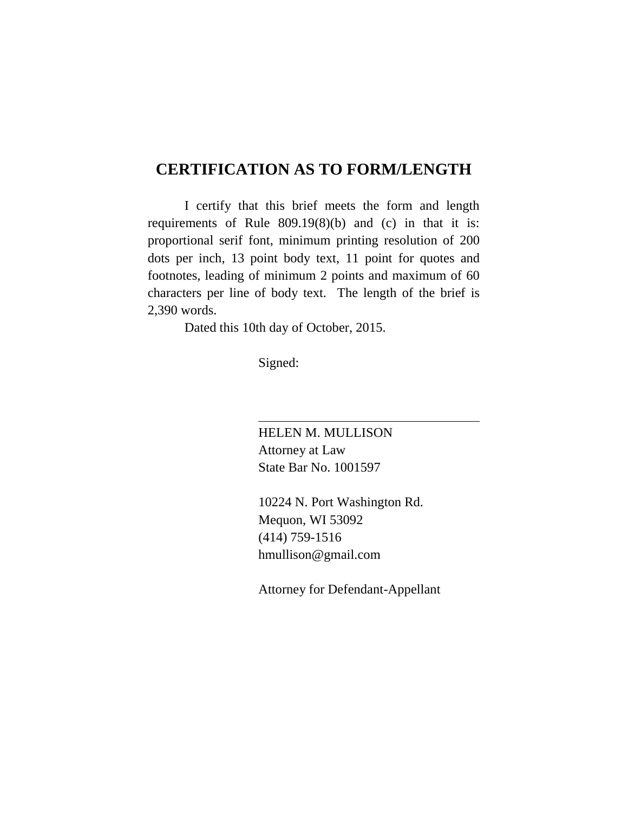## **CERTIFICATION AS TO FORM/LENGTH**

I certify that this brief meets the form and length requirements of Rule 809.19(8)(b) and (c) in that it is: proportional serif font, minimum printing resolution of 200 dots per inch, 13 point body text, 11 point for quotes and footnotes, leading of minimum 2 points and maximum of 60 characters per line of body text. The length of the brief is 2,390 words.

Dated this 10th day of October, 2015.

Signed:

HELEN M. MULLISON Attorney at Law State Bar No. 1001597

10224 N. Port Washington Rd. Mequon, WI 53092 (414) 759-1516 hmullison@gmail.com

Attorney for Defendant-Appellant